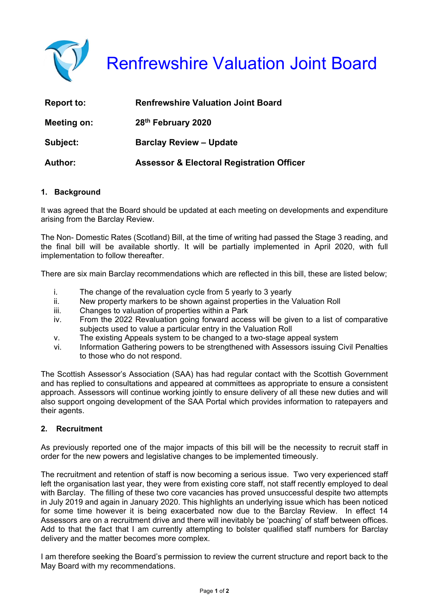

# Renfrewshire Valuation Joint Board

| <b>Report to:</b> | <b>Renfrewshire Valuation Joint Board</b>            |
|-------------------|------------------------------------------------------|
| Meeting on:       | 28th February 2020                                   |
| Subject:          | <b>Barclay Review - Update</b>                       |
| <b>Author:</b>    | <b>Assessor &amp; Electoral Registration Officer</b> |

## **1. Background**

It was agreed that the Board should be updated at each meeting on developments and expenditure arising from the Barclay Review.

The Non- Domestic Rates (Scotland) Bill, at the time of writing had passed the Stage 3 reading, and the final bill will be available shortly. It will be partially implemented in April 2020, with full implementation to follow thereafter.

There are six main Barclay recommendations which are reflected in this bill, these are listed below;

- i. The change of the revaluation cycle from 5 yearly to 3 yearly
- ii. New property markers to be shown against properties in the Valuation Roll
- iii. Changes to valuation of properties within a Park
- iv. From the 2022 Revaluation going forward access will be given to a list of comparative subjects used to value a particular entry in the Valuation Roll
- v. The existing Appeals system to be changed to a two-stage appeal system
- vi. Information Gathering powers to be strengthened with Assessors issuing Civil Penalties to those who do not respond.

The Scottish Assessor's Association (SAA) has had regular contact with the Scottish Government and has replied to consultations and appeared at committees as appropriate to ensure a consistent approach. Assessors will continue working jointly to ensure delivery of all these new duties and will also support ongoing development of the SAA Portal which provides information to ratepayers and their agents.

## **2. Recruitment**

As previously reported one of the major impacts of this bill will be the necessity to recruit staff in order for the new powers and legislative changes to be implemented timeously.

The recruitment and retention of staff is now becoming a serious issue. Two very experienced staff left the organisation last year, they were from existing core staff, not staff recently employed to deal with Barclay. The filling of these two core vacancies has proved unsuccessful despite two attempts in July 2019 and again in January 2020. This highlights an underlying issue which has been noticed for some time however it is being exacerbated now due to the Barclay Review. In effect 14 Assessors are on a recruitment drive and there will inevitably be 'poaching' of staff between offices. Add to that the fact that I am currently attempting to bolster qualified staff numbers for Barclay delivery and the matter becomes more complex.

I am therefore seeking the Board's permission to review the current structure and report back to the May Board with my recommendations.